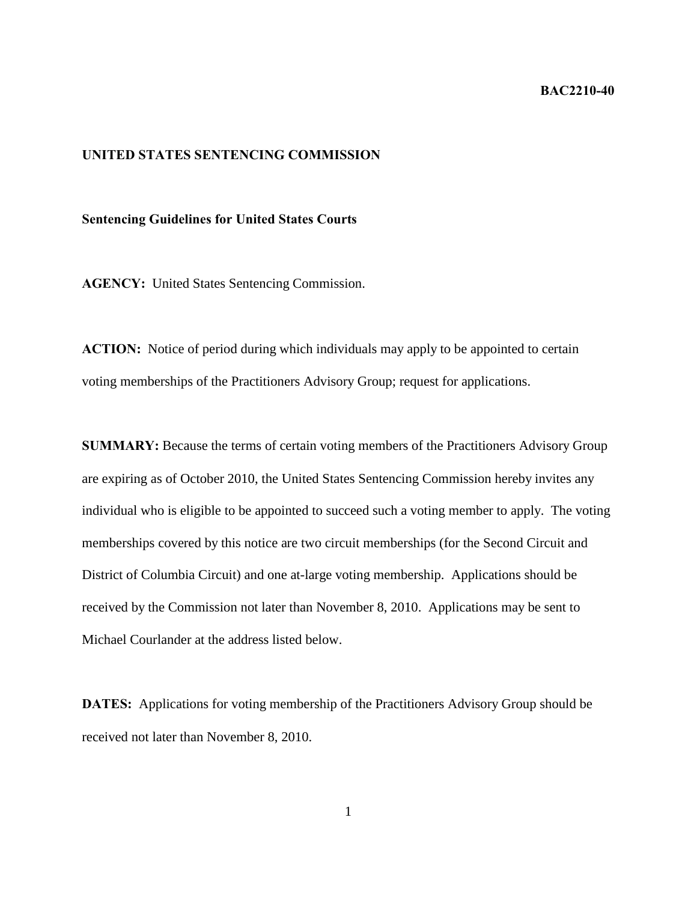## **BAC2210-40**

## **UNITED STATES SENTENCING COMMISSION**

## **Sentencing Guidelines for United States Courts**

**AGENCY:** United States Sentencing Commission.

**ACTION:** Notice of period during which individuals may apply to be appointed to certain voting memberships of the Practitioners Advisory Group; request for applications.

**SUMMARY:** Because the terms of certain voting members of the Practitioners Advisory Group are expiring as of October 2010, the United States Sentencing Commission hereby invites any individual who is eligible to be appointed to succeed such a voting member to apply. The voting memberships covered by this notice are two circuit memberships (for the Second Circuit and District of Columbia Circuit) and one at-large voting membership. Applications should be received by the Commission not later than November 8, 2010. Applications may be sent to Michael Courlander at the address listed below.

**DATES:** Applications for voting membership of the Practitioners Advisory Group should be received not later than November 8, 2010.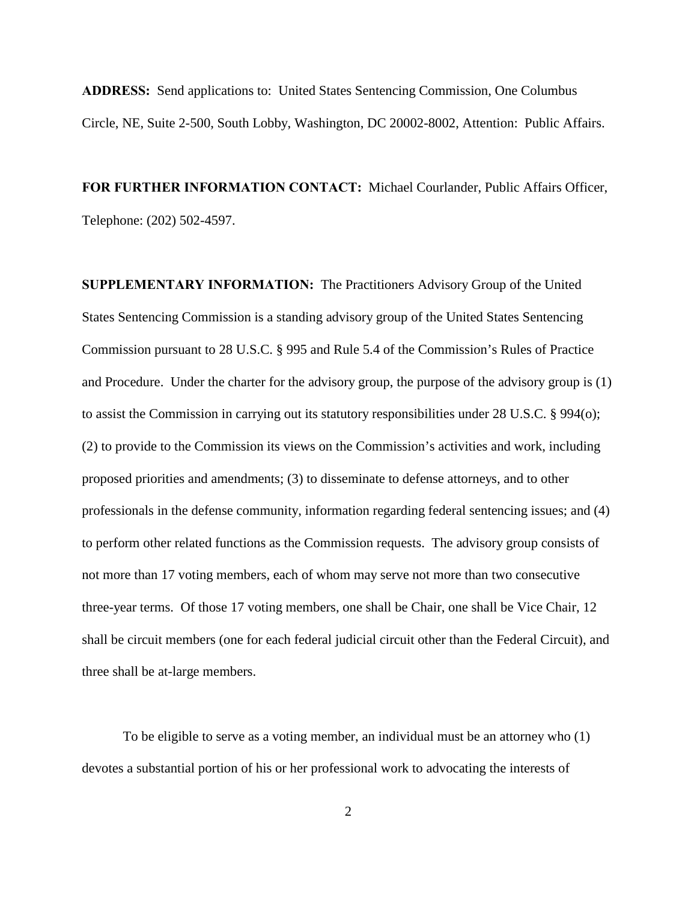**ADDRESS:** Send applications to: United States Sentencing Commission, One Columbus Circle, NE, Suite 2-500, South Lobby, Washington, DC 20002-8002, Attention: Public Affairs.

**FOR FURTHER INFORMATION CONTACT:** Michael Courlander, Public Affairs Officer, Telephone: (202) 502-4597.

**SUPPLEMENTARY INFORMATION:** The Practitioners Advisory Group of the United States Sentencing Commission is a standing advisory group of the United States Sentencing Commission pursuant to 28 U.S.C. § 995 and Rule 5.4 of the Commission's Rules of Practice and Procedure. Under the charter for the advisory group, the purpose of the advisory group is (1) to assist the Commission in carrying out its statutory responsibilities under 28 U.S.C. § 994(o); (2) to provide to the Commission its views on the Commission's activities and work, including proposed priorities and amendments; (3) to disseminate to defense attorneys, and to other professionals in the defense community, information regarding federal sentencing issues; and (4) to perform other related functions as the Commission requests. The advisory group consists of not more than 17 voting members, each of whom may serve not more than two consecutive three-year terms. Of those 17 voting members, one shall be Chair, one shall be Vice Chair, 12 shall be circuit members (one for each federal judicial circuit other than the Federal Circuit), and three shall be at-large members.

To be eligible to serve as a voting member, an individual must be an attorney who (1) devotes a substantial portion of his or her professional work to advocating the interests of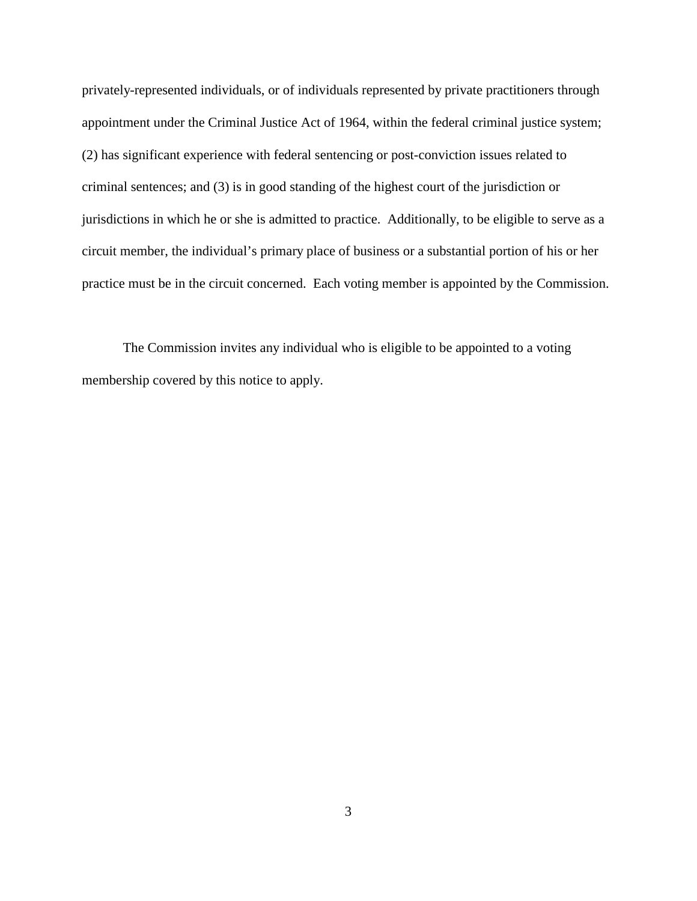privately-represented individuals, or of individuals represented by private practitioners through appointment under the Criminal Justice Act of 1964, within the federal criminal justice system; (2) has significant experience with federal sentencing or post-conviction issues related to criminal sentences; and (3) is in good standing of the highest court of the jurisdiction or jurisdictions in which he or she is admitted to practice. Additionally, to be eligible to serve as a circuit member, the individual's primary place of business or a substantial portion of his or her practice must be in the circuit concerned. Each voting member is appointed by the Commission.

The Commission invites any individual who is eligible to be appointed to a voting membership covered by this notice to apply.